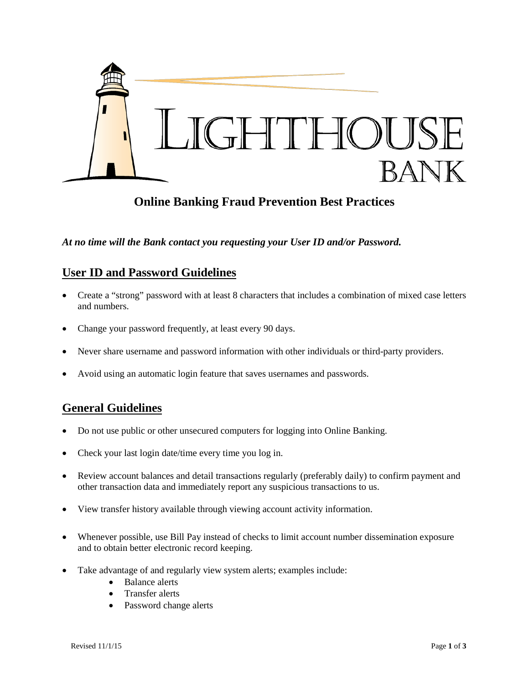

# **Online Banking Fraud Prevention Best Practices**

*At no time will the Bank contact you requesting your User ID and/or Password.*

## **User ID and Password Guidelines**

- Create a "strong" password with at least 8 characters that includes a combination of mixed case letters and numbers.
- Change your password frequently, at least every 90 days.
- Never share username and password information with other individuals or third-party providers.
- Avoid using an automatic login feature that saves usernames and passwords.

## **General Guidelines**

- Do not use public or other unsecured computers for logging into Online Banking.
- Check your last login date/time every time you log in.
- Review account balances and detail transactions regularly (preferably daily) to confirm payment and other transaction data and immediately report any suspicious transactions to us.
- View transfer history available through viewing account activity information.
- Whenever possible, use Bill Pay instead of checks to limit account number dissemination exposure and to obtain better electronic record keeping.
- Take advantage of and regularly view system alerts; examples include:
	- Balance alerts
	- Transfer alerts
	- Password change alerts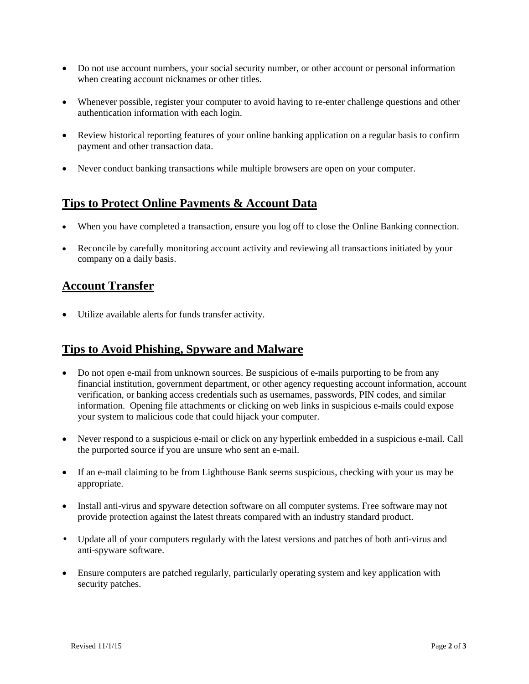- Do not use account numbers, your social security number, or other account or personal information when creating account nicknames or other titles.
- Whenever possible, register your computer to avoid having to re-enter challenge questions and other authentication information with each login.
- Review historical reporting features of your online banking application on a regular basis to confirm payment and other transaction data.
- Never conduct banking transactions while multiple browsers are open on your computer.

## **Tips to Protect Online Payments & Account Data**

- When you have completed a transaction, ensure you log off to close the Online Banking connection.
- Reconcile by carefully monitoring account activity and reviewing all transactions initiated by your company on a daily basis.

#### **Account Transfer**

• Utilize available alerts for funds transfer activity.

#### **Tips to Avoid Phishing, Spyware and Malware**

- Do not open e-mail from unknown sources. Be suspicious of e-mails purporting to be from any financial institution, government department, or other agency requesting account information, account verification, or banking access credentials such as usernames, passwords, PIN codes, and similar information. Opening file attachments or clicking on web links in suspicious e-mails could expose your system to malicious code that could hijack your computer.
- Never respond to a suspicious e-mail or click on any hyperlink embedded in a suspicious e-mail. Call the purported source if you are unsure who sent an e-mail.
- If an e-mail claiming to be from Lighthouse Bank seems suspicious, checking with your us may be appropriate.
- Install anti-virus and spyware detection software on all computer systems. Free software may not provide protection against the latest threats compared with an industry standard product.
- Update all of your computers regularly with the latest versions and patches of both anti-virus and anti-spyware software.
- Ensure computers are patched regularly, particularly operating system and key application with security patches.